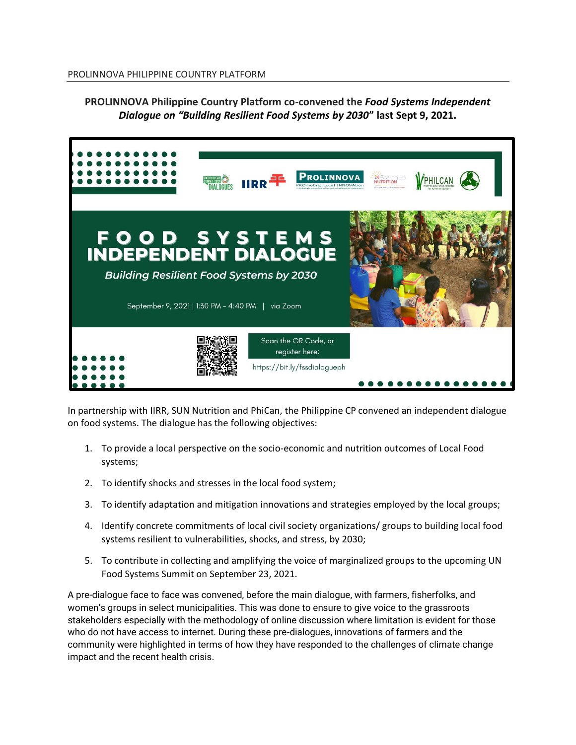## **PROLINNOVA Philippine Country Platform co-convened the** *Food Systems Independent Dialogue on "Building Resilient Food Systems by 2030***" last Sept 9, 2021.**



In partnership with IIRR, SUN Nutrition and PhiCan, the Philippine CP convened an independent dialogue on food systems. The dialogue has the following objectives:

- 1. To provide a local perspective on the socio-economic and nutrition outcomes of Local Food systems;
- 2. To identify shocks and stresses in the local food system;
- 3. To identify adaptation and mitigation innovations and strategies employed by the local groups;
- 4. Identify concrete commitments of local civil society organizations/ groups to building local food systems resilient to vulnerabilities, shocks, and stress, by 2030;
- 5. To contribute in collecting and amplifying the voice of marginalized groups to the upcoming UN Food Systems Summit on September 23, 2021.

A pre-dialogue face to face was convened, before the main dialogue, with farmers, fisherfolks, and women's groups in select municipalities. This was done to ensure to give voice to the grassroots stakeholders especially with the methodology of online discussion where limitation is evident for those who do not have access to internet. During these pre-dialogues, innovations of farmers and the community were highlighted in terms of how they have responded to the challenges of climate change impact and the recent health crisis.